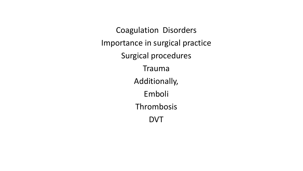Coagulation Disorders Importance in surgical practice Surgical procedures Trauma Additionally, Emboli Thrombosis DVT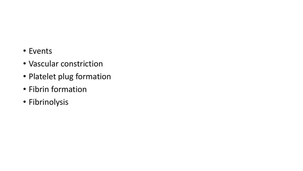- Events
- Vascular constriction
- Platelet plug formation
- Fibrin formation
- Fibrinolysis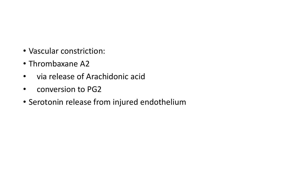- Vascular constriction:
- Thrombaxane A2
- via release of Arachidonic acid
- conversion to PG2
- Serotonin release from injured endothelium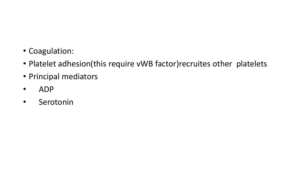- Coagulation:
- Platelet adhesion(this require vWB factor)recruites other platelets
- Principal mediators
- ADP
- Serotonin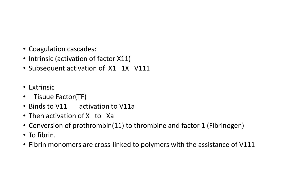- Coagulation cascades:
- Intrinsic (activation of factor X11)
- Subsequent activation of X1 1X V111
- Extrinsic
- Tisuue Factor(TF)
- Binds to V11 activation to V11a
- Then activation of X to Xa
- Conversion of prothrombin(11) to thrombine and factor 1 (Fibrinogen)
- To fibrin.
- Fibrin monomers are cross-linked to polymers with the assistance of V111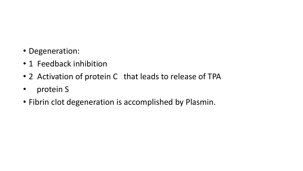- Degeneration:
- 1 Feedback inhibition
- 2 Activation of protein C that leads to release of TPA
- protein S
- Fibrin clot degeneration is accomplished by Plasmin.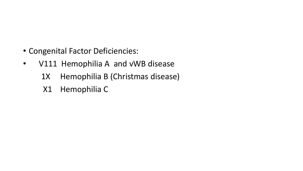- Congenital Factor Deficiencies:
- V111 Hemophilia A and vWB disease
	- 1X Hemophilia B (Christmas disease)
	- X1 Hemophilia C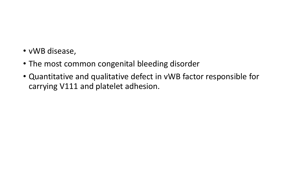- vWB disease,
- The most common congenital bleeding disorder
- Quantitative and qualitative defect in vWB factor responsible for carrying V111 and platelet adhesion.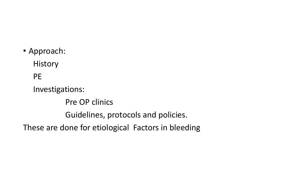• Approach:

**History** 

PE

Investigations:

Pre OP clinics

Guidelines, protocols and policies.

These are done for etiological Factors in bleeding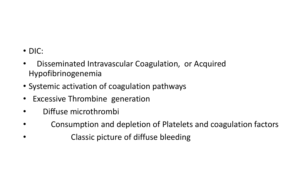- DIC:
- Disseminated Intravascular Coagulation, or Acquired Hypofibrinogenemia
- Systemic activation of coagulation pathways
- Excessive Thrombine generation
- Diffuse microthrombi
- Consumption and depletion of Platelets and coagulation factors
- Classic picture of diffuse bleeding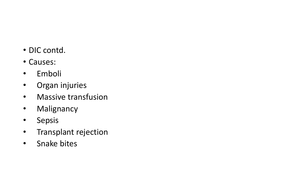- DIC contd.
- Causes:
- Emboli
- Organ injuries
- Massive transfusion
- Malignancy
- Sepsis
- Transplant rejection
- Snake bites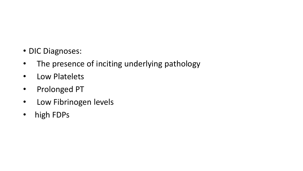- DIC Diagnoses:
- The presence of inciting underlying pathology
- Low Platelets
- Prolonged PT
- Low Fibrinogen levels
- high FDPs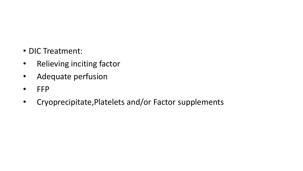- DIC Treatment:
- Relieving inciting factor
- Adequate perfusion
- FFP
- Cryoprecipitate,Platelets and/or Factor supplements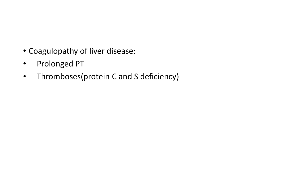- Coagulopathy of liver disease:
- Prolonged PT
- Thromboses(protein C and S deficiency)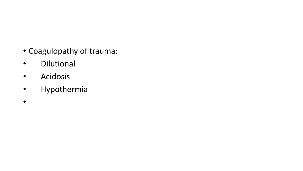- Coagulopathy of trauma:
- Dilutional
- Acidosis
- Hypothermia
- $\bullet$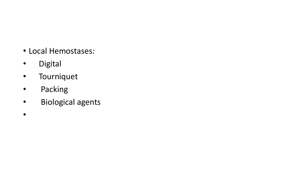- Local Hemostases:
- Digital
- Tourniquet
- Packing
- Biological agents
- $\bullet$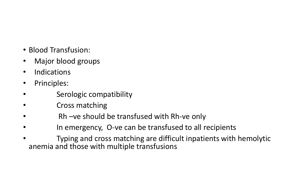- Blood Transfusion:
- Major blood groups
- **Indications**
- Principles:
- Serologic compatibility
- Cross matching
- Rh –ve should be transfused with Rh-ve only
- In emergency, O-ve can be transfused to all recipients
- Typing and cross matching are difficult inpatients with hemolytic anemia and those with multiple transfusions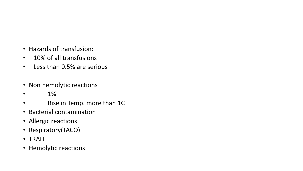- Hazards of transfusion:
- 10% of all transfusions
- Less than 0.5% are serious
- Non hemolytic reactions
- $\bullet$  1%
- Rise in Temp. more than 1C
- Bacterial contamination
- Allergic reactions
- Respiratory(TACO)
- TRALI
- Hemolytic reactions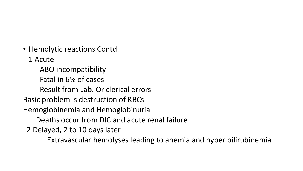- Hemolytic reactions Contd.
	- 1 Acute
	- ABO incompatibility Fatal in 6% of cases
		- Result from Lab. Or clerical errors
- Basic problem is destruction of RBCs
- Hemoglobinemia and Hemoglobinuria
	- Deaths occur from DIC and acute renal failure
	- 2 Delayed, 2 to 10 days later
		- Extravascular hemolyses leading to anemia and hyper bilirubinemia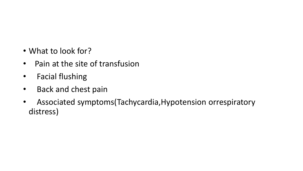- What to look for?
- Pain at the site of transfusion
- Facial flushing
- Back and chest pain
- Associated symptoms(Tachycardia,Hypotension orrespiratory distress)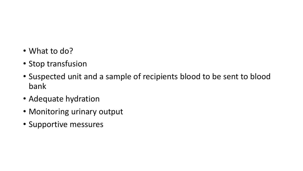- What to do?
- Stop transfusion
- Suspected unit and a sample of recipients blood to be sent to blood bank
- Adequate hydration
- Monitoring urinary output
- Supportive messures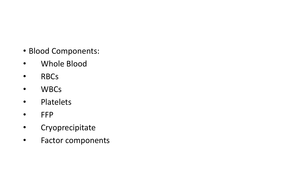- Blood Components:
- Whole Blood
- RBCs
- WBCs
- Platelets
- FFP
- Cryoprecipitate
- Factor components